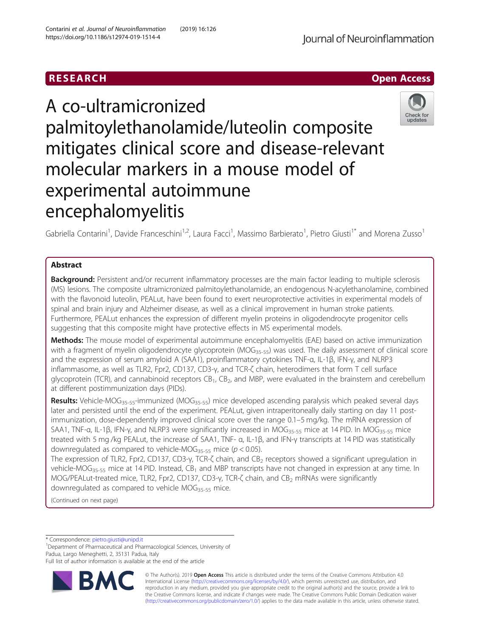# RESEARCH **RESEARCH CHOOSE ACCESS**

# A co-ultramicronized palmitoylethanolamide/luteolin composite mitigates clinical score and disease-relevant molecular markers in a mouse model of experimental autoimmune encephalomyelitis



Gabriella Contarini<sup>1</sup>, Davide Franceschini<sup>1,2</sup>, Laura Facci<sup>1</sup>, Massimo Barbierato<sup>1</sup>, Pietro Giusti<sup>1\*</sup> and Morena Zusso<sup>1</sup>

## Abstract

Background: Persistent and/or recurrent inflammatory processes are the main factor leading to multiple sclerosis (MS) lesions. The composite ultramicronized palmitoylethanolamide, an endogenous N-acylethanolamine, combined with the flavonoid luteolin, PEALut, have been found to exert neuroprotective activities in experimental models of spinal and brain injury and Alzheimer disease, as well as a clinical improvement in human stroke patients. Furthermore, PEALut enhances the expression of different myelin proteins in oligodendrocyte progenitor cells suggesting that this composite might have protective effects in MS experimental models.

Methods: The mouse model of experimental autoimmune encephalomyelitis (EAE) based on active immunization with a fragment of myelin oligodendrocyte glycoprotein (MOG<sub>35-55</sub>) was used. The daily assessment of clinical score and the expression of serum amyloid A (SAA1), proinflammatory cytokines TNF-α, IL-1β, IFN-γ, and NLRP3 inflammasome, as well as TLR2, Fpr2, CD137, CD3-γ, and TCR-ζ chain, heterodimers that form T cell surface glycoprotein (TCR), and cannabinoid receptors  $CB_1$ ,  $CB_2$ , and MBP, were evaluated in the brainstem and cerebellum at different postimmunization days (PIDs).

Results: Vehicle-MOG<sub>35-55</sub>-immunized (MOG<sub>35-55</sub>) mice developed ascending paralysis which peaked several days later and persisted until the end of the experiment. PEALut, given intraperitoneally daily starting on day 11 postimmunization, dose-dependently improved clinical score over the range 0.1–5 mg/kg. The mRNA expression of SAA1, TNF-α, IL-1β, IFN-γ, and NLRP3 were significantly increased in MOG<sub>35-55</sub> mice at 14 PID. In MOG<sub>35-55</sub> mice treated with 5 mg /kg PEALut, the increase of SAA1, TNF- α, IL-1β, and IFN-γ transcripts at 14 PID was statistically downregulated as compared to vehicle-MOG<sub>35-55</sub> mice ( $p < 0.05$ ).

The expression of TLR2, Fpr2, CD137, CD3-γ, TCR-ζ chain, and CB<sub>2</sub> receptors showed a significant upregulation in vehicle-MOG<sub>35-55</sub> mice at 14 PID. Instead, CB<sub>1</sub> and MBP transcripts have not changed in expression at any time. In MOG/PEALut-treated mice, TLR2, Fpr2, CD137, CD3-γ, TCR-ζ chain, and CB<sub>2</sub> mRNAs were significantly downregulated as compared to vehicle  $MOG_{35-55}$  mice.

(Continued on next page)

\* Correspondence: [pietro.giusti@unipd.it](mailto:pietro.giusti@unipd.it) <sup>1</sup>

<sup>1</sup>Department of Pharmaceutical and Pharmacological Sciences, University of Padua, Largo Meneghetti, 2, 35131 Padua, Italy

Full list of author information is available at the end of the article



© The Author(s). 2019 Open Access This article is distributed under the terms of the Creative Commons Attribution 4.0 International License [\(http://creativecommons.org/licenses/by/4.0/](http://creativecommons.org/licenses/by/4.0/)), which permits unrestricted use, distribution, and reproduction in any medium, provided you give appropriate credit to the original author(s) and the source, provide a link to the Creative Commons license, and indicate if changes were made. The Creative Commons Public Domain Dedication waiver [\(http://creativecommons.org/publicdomain/zero/1.0/](http://creativecommons.org/publicdomain/zero/1.0/)) applies to the data made available in this article, unless otherwise stated.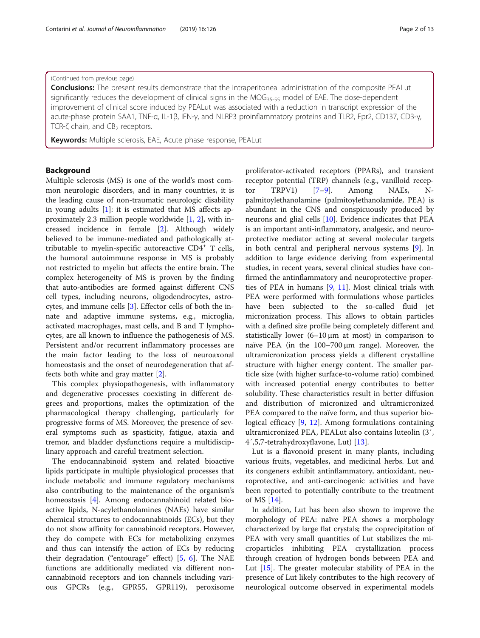## (Continued from previous page)

**Conclusions:** The present results demonstrate that the intraperitoneal administration of the composite PEALut significantly reduces the development of clinical signs in the MOG<sub>35-55</sub> model of EAE. The dose-dependent improvement of clinical score induced by PEALut was associated with a reduction in transcript expression of the acute-phase protein SAA1, TNF-α, IL-1β, IFN-γ, and NLRP3 proinflammatory proteins and TLR2, Fpr2, CD137, CD3-γ, TCR- $\zeta$  chain, and CB<sub>2</sub> receptors.

Keywords: Multiple sclerosis, EAE, Acute phase response, PEALut

## Background

Multiple sclerosis (MS) is one of the world's most common neurologic disorders, and in many countries, it is the leading cause of non-traumatic neurologic disability in young adults  $[1]$  $[1]$ : it is estimated that MS affects approximately 2.3 million people worldwide [\[1](#page-11-0), [2](#page-11-0)], with increased incidence in female [[2](#page-11-0)]. Although widely believed to be immune-mediated and pathologically attributable to myelin-specific autoreactive  $CD4^+$  T cells, the humoral autoimmune response in MS is probably not restricted to myelin but affects the entire brain. The complex heterogeneity of MS is proven by the finding that auto-antibodies are formed against different CNS cell types, including neurons, oligodendrocytes, astrocytes, and immune cells [\[3](#page-11-0)]. Effector cells of both the innate and adaptive immune systems, e.g., microglia, activated macrophages, mast cells, and B and T lymphocytes, are all known to influence the pathogenesis of MS. Persistent and/or recurrent inflammatory processes are the main factor leading to the loss of neuroaxonal homeostasis and the onset of neurodegeneration that affects both white and gray matter [[2](#page-11-0)].

This complex physiopathogenesis, with inflammatory and degenerative processes coexisting in different degrees and proportions, makes the optimization of the pharmacological therapy challenging, particularly for progressive forms of MS. Moreover, the presence of several symptoms such as spasticity, fatigue, ataxia and tremor, and bladder dysfunctions require a multidisciplinary approach and careful treatment selection.

The endocannabinoid system and related bioactive lipids participate in multiple physiological processes that include metabolic and immune regulatory mechanisms also contributing to the maintenance of the organism's homeostasis [[4\]](#page-11-0). Among endocannabinoid related bioactive lipids, N-acylethanolamines (NAEs) have similar chemical structures to endocannabinoids (ECs), but they do not show affinity for cannabinoid receptors. However, they do compete with ECs for metabolizing enzymes and thus can intensify the action of ECs by reducing their degradation ("entourage" effect) [[5,](#page-11-0) [6\]](#page-11-0). The NAE functions are additionally mediated via different noncannabinoid receptors and ion channels including various GPCRs (e.g., GPR55, GPR119), peroxisome proliferator-activated receptors (PPARs), and transient receptor potential (TRP) channels (e.g., vanilloid receptor TRPV1) [[7](#page-11-0)–[9\]](#page-11-0). Among NAEs, Npalmitoylethanolamine (palmitoylethanolamide, PEA) is abundant in the CNS and conspicuously produced by neurons and glial cells [[10\]](#page-11-0). Evidence indicates that PEA is an important anti-inflammatory, analgesic, and neuroprotective mediator acting at several molecular targets in both central and peripheral nervous systems [\[9\]](#page-11-0). In addition to large evidence deriving from experimental studies, in recent years, several clinical studies have confirmed the antinflammatory and neuroprotective properties of PEA in humans [\[9](#page-11-0), [11](#page-11-0)]. Most clinical trials with PEA were performed with formulations whose particles have been subjected to the so-called fluid jet micronization process. This allows to obtain particles with a defined size profile being completely different and statistically lower  $(6-10 \mu m)$  at most) in comparison to naïve PEA (in the 100–700 μm range). Moreover, the ultramicronization process yields a different crystalline structure with higher energy content. The smaller particle size (with higher surface-to-volume ratio) combined with increased potential energy contributes to better solubility. These characteristics result in better diffusion and distribution of micronized and ultramicronized PEA compared to the naïve form, and thus superior biological efficacy [\[9](#page-11-0), [12](#page-11-0)]. Among formulations containing ultramicronized PEA, PEALut also contains luteolin (3′, 4′,5,7-tetrahydroxyflavone, Lut) [[13\]](#page-11-0).

Lut is a flavonoid present in many plants, including various fruits, vegetables, and medicinal herbs. Lut and its congeners exhibit antinflammatory, antioxidant, neuroprotective, and anti-carcinogenic activities and have been reported to potentially contribute to the treatment of MS [[14\]](#page-11-0).

In addition, Lut has been also shown to improve the morphology of PEA: naïve PEA shows a morphology characterized by large flat crystals; the coprecipitation of PEA with very small quantities of Lut stabilizes the microparticles inhibiting PEA crystallization process through creation of hydrogen bonds between PEA and Lut [\[15\]](#page-11-0). The greater molecular stability of PEA in the presence of Lut likely contributes to the high recovery of neurological outcome observed in experimental models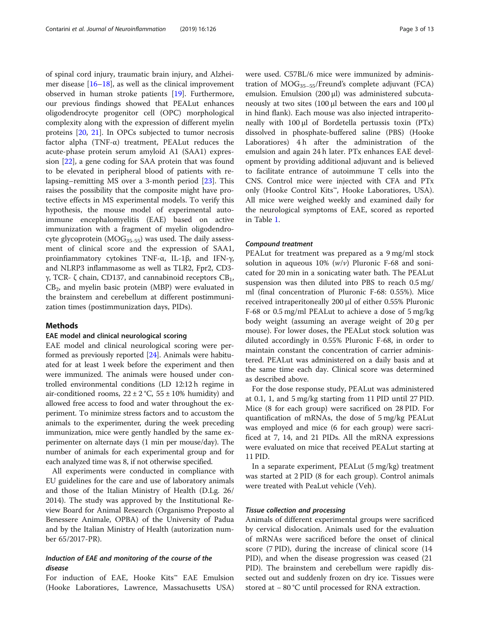of spinal cord injury, traumatic brain injury, and Alzheimer disease  $[16–18]$  $[16–18]$  $[16–18]$ , as well as the clinical improvement observed in human stroke patients [\[19\]](#page-11-0). Furthermore, our previous findings showed that PEALut enhances oligodendrocyte progenitor cell (OPC) morphological complexity along with the expression of different myelin proteins [\[20](#page-11-0), [21](#page-11-0)]. In OPCs subjected to tumor necrosis factor alpha  $(TNF-\alpha)$  treatment, PEALut reduces the acute-phase protein serum amyloid A1 (SAA1) expression [[22\]](#page-11-0), a gene coding for SAA protein that was found to be elevated in peripheral blood of patients with relapsing–remitting MS over a 3-month period [\[23](#page-11-0)]. This raises the possibility that the composite might have protective effects in MS experimental models. To verify this hypothesis, the mouse model of experimental autoimmune encephalomyelitis (EAE) based on active immunization with a fragment of myelin oligodendrocyte glycoprotein ( $MOG<sub>35-55</sub>$ ) was used. The daily assessment of clinical score and the expression of SAA1, proinfiammatory cytokines TNF-α, IL-1β, and IFN-γ, and NLRP3 inflammasome as well as TLR2, Fpr2, CD3 γ, TCR- ζ chain, CD137, and cannabinoid receptors  $CB_1$ ,  $CB<sub>2</sub>$ , and myelin basic protein (MBP) were evaluated in the brainstem and cerebellum at different postimmunization times (postimmunization days, PIDs).

## Methods

## EAE model and clinical neurological scoring

EAE model and clinical neurological scoring were performed as previously reported [[24](#page-11-0)]. Animals were habituated for at least 1 week before the experiment and then were immunized. The animals were housed under controlled environmental conditions (LD 12:12 h regime in air-conditioned rooms,  $22 \pm 2$  °C,  $55 \pm 10$ % humidity) and allowed free access to food and water throughout the experiment. To minimize stress factors and to accustom the animals to the experimenter, during the week preceding immunization, mice were gently handled by the same experimenter on alternate days (1 min per mouse/day). The number of animals for each experimental group and for each analyzed time was 8, if not otherwise specified.

All experiments were conducted in compliance with EU guidelines for the care and use of laboratory animals and those of the Italian Ministry of Health (D.Lg. 26/ 2014). The study was approved by the Institutional Review Board for Animal Research (Organismo Preposto al Benessere Animale, OPBA) of the University of Padua and by the Italian Ministry of Health (autorization number 65/2017-PR).

## Induction of EAE and monitoring of the course of the disease

For induction of EAE, Hooke Kits™ EAE Emulsion (Hooke Laboratiores, Lawrence, Massachusetts USA)

were used. C57BL/6 mice were immunized by administration of  $MOG_{35-55}/$ Freund's complete adjuvant (FCA) emulsion. Emulsion (200 μl) was administered subcutaneously at two sites (100 μl between the ears and 100 μl in hind flank). Each mouse was also injected intraperitoneally with 100 μl of Bordetella pertussis toxin (PTx) dissolved in phosphate-buffered saline (PBS) (Hooke Laboratiores) 4h after the administration of the emulsion and again 24 h later. PTx enhances EAE development by providing additional adjuvant and is believed to facilitate entrance of autoimmune T cells into the CNS. Control mice were injected with CFA and PTx only (Hooke Control Kits™, Hooke Laboratiores, USA). All mice were weighed weekly and examined daily for the neurological symptoms of EAE, scored as reported in Table [1.](#page-3-0)

#### Compound treatment

PEALut for treatment was prepared as a 9 mg/ml stock solution in aqueous  $10\%$  ( $w/v$ ) Pluronic F-68 and sonicated for 20 min in a sonicating water bath. The PEALut suspension was then diluted into PBS to reach 0.5 mg/ ml (final concentration of Pluronic F-68: 0.55%). Mice received intraperitoneally 200 μl of either 0.55% Pluronic F-68 or 0.5 mg/ml PEALut to achieve a dose of 5 mg/kg body weight (assuming an average weight of 20 g per mouse). For lower doses, the PEALut stock solution was diluted accordingly in 0.55% Pluronic F-68, in order to maintain constant the concentration of carrier administered. PEALut was administered on a daily basis and at the same time each day. Clinical score was determined as described above.

For the dose response study, PEALut was administered at 0.1, 1, and 5 mg/kg starting from 11 PID until 27 PID. Mice (8 for each group) were sacrificed on 28 PID. For quantification of mRNAs, the dose of 5 mg/kg PEALut was employed and mice (6 for each group) were sacrificed at 7, 14, and 21 PIDs. All the mRNA expressions were evaluated on mice that received PEALut starting at 11 PID.

In a separate experiment, PEALut (5 mg/kg) treatment was started at 2 PID (8 for each group). Control animals were treated with PeaLut vehicle (Veh).

## Tissue collection and processing

Animals of different experimental groups were sacrificed by cervical dislocation. Animals used for the evaluation of mRNAs were sacrificed before the onset of clinical score (7 PID), during the increase of clinical score (14 PID), and when the disease progression was ceased (21 PID). The brainstem and cerebellum were rapidly dissected out and suddenly frozen on dry ice. Tissues were stored at − 80 °C until processed for RNA extraction.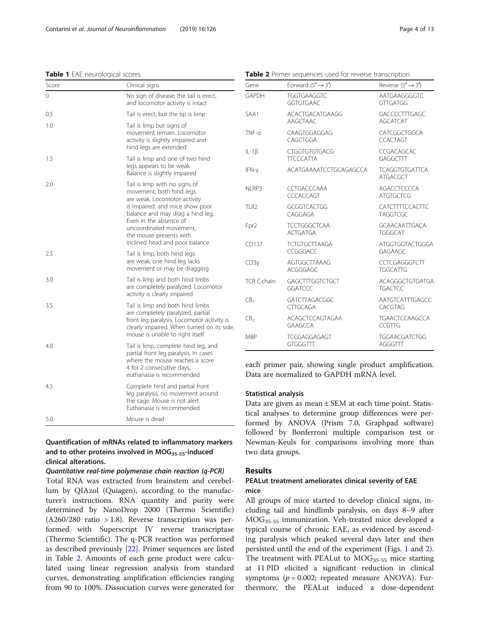## <span id="page-3-0"></span>Table 1 EAE neurological scores

| Score | Clinical signs                                                                                                                                                                                                                                                                     |
|-------|------------------------------------------------------------------------------------------------------------------------------------------------------------------------------------------------------------------------------------------------------------------------------------|
| 0     | No sign of disease; the tail is erect,<br>and locomotor activity is intact                                                                                                                                                                                                         |
| 0.5   | Tail is erect, but the tip is limp                                                                                                                                                                                                                                                 |
| 1.0   | Tail is limp but signs of<br>movement remain. Locomotor<br>activity is slightly impaired and<br>hind legs are extended                                                                                                                                                             |
| 1.5   | Tail is limp and one of two hind<br>legs appears to be weak.<br>Balance is slightly impaired                                                                                                                                                                                       |
| 2.0   | Tail is limp with no signs of<br>movement; both hind legs<br>are weak. Locomotor activity<br>is impaired, and mice show poor<br>balance and may drag a hind leg.<br>Even in the absence of<br>uncoordinated movement,<br>the mouse presents with<br>inclined head and poor balance |
| 2.5   | Tail is limp, both hind legs<br>are weak; one hind leg lacks<br>movement or may be dragging                                                                                                                                                                                        |
| 3.0   | Tail is limp and both hind limbs<br>are completely paralyzed. Locomotor<br>activity is clearly impaired                                                                                                                                                                            |
| 3.5   | Tail is limp and both hind limbs<br>are completely paralyzed, partial<br>front leg paralysis. Locomotor activity is<br>clearly impaired. When turned on its side<br>mouse is unable to right itself                                                                                |
| 4.0   | Tail is limp, complete hind leg, and<br>partial front leg paralysis. In cases<br>where the mouse reaches a score<br>4 for 2 consecutive days,<br>euthanasia is recommended                                                                                                         |
| 4.5   | Complete hind and partial front<br>leg paralysis, no movement around<br>the cage. Mouse is not alert.<br>Euthanasia is recommended                                                                                                                                                 |
| 5.0   | Mouse is dead                                                                                                                                                                                                                                                                      |

## Quantification of mRNAs related to inflammatory markers and to other proteins involved in  $MOG_{35-55}$ -induced clinical alterations.

## Quantitative real-time polymerase chain reaction (q-PCR)

Total RNA was extracted from brainstem and cerebellum by QIAzol (Quiagen), according to the manufacturer's instructions. RNA quantity and purity were determined by NanoDrop 2000 (Thermo Scientific)  $(A260/280 \text{ ratio} > 1.8)$ . Reverse transcription was performed with Superscript IV reverse transcriptase (Thermo Scientific). The q-PCR reaction was performed as described previously [[22](#page-11-0)]. Primer sequences are listed in Table 2. Amounts of each gene product were calculated using linear regression analysis from standard curves, demonstrating amplification efficiencies ranging from 90 to 100%. Dissociation curves were generated for

Table 2 Primer sequences used for reverse transcription

| Gene              | Forward $(5' \rightarrow 3')$            | Reverse $(5' \rightarrow 3')$             |
|-------------------|------------------------------------------|-------------------------------------------|
| <b>GAPDH</b>      | <b>TGGTGAAGGTC</b><br><b>GGTGTGAAC</b>   | AATGAAGGGGTC<br>GTTGATGG                  |
| SAA1              | ACACTGACATGAAGG<br>AAGCTAAC              | <b>GACCCCTTTGAGC</b><br><b>AGCATCAT</b>   |
| $TNF-a$           | CAAGTGGAGGAG<br>CAGCTGGA                 | CATCGGCTGGCA<br><b>CCACTAGT</b>           |
| $IL-1\beta$       | <b>CTGGTGTGTGACG</b><br><b>TTCCCATTA</b> | CCGACAGCAC<br>GAGGCTTT                    |
| IFN-y             | ACATGAAAATCCTGCAGAGCCA                   | <b>TCAGGTGTGATTCA</b><br><b>ATGACGCT</b>  |
| NLRP3             | <b>CCTGACCCAAA</b><br>CCCACCAGT          | <b>AGACCTCCCCA</b><br><b>ATGTGCTCG</b>    |
| TLR <sub>2</sub>  | <b>GCGGTCACTGG</b><br>CAGGAGA            | <b>CATCTTTTCCACTTC</b><br><b>TAGGTCGC</b> |
| Fpr <sub>2</sub>  | <b>TCCTGGGCTCAA</b><br><b>ACTGATGA</b>   | <b>GCAACAATTGACA</b><br><b>TGGGCAT</b>    |
| CD137             | <b>TCTGTGCTTAAGA</b><br>CCGGGACC         | ATGGTGGTACTGGGA<br><b>GAGAAGC</b>         |
| CD3y              | <b>AGTGGCTTAAAG</b><br>ACGGGAGC          | CCTCGAGGGTCTT<br><b>TGGCATTG</b>          |
| TCR $\zeta$ chain | GAGCTTTGGTCTGCT<br><b>GGATCCC</b>        | ACAGGGCTGTGATGA<br><b>TGACTCC</b>         |
| CB <sub>1</sub>   | <b>GATCTTAGACGGC</b><br><b>CTTGCAGA</b>  | AATGTCATTTGAGCC<br>CACGTAG                |
| CB <sub>2</sub>   | ACAGCTCCAGTAGAA<br><b>GAAGCCA</b>        | <b>TGAACTCCAAGCCA</b><br><b>CCGTTG</b>    |
| MBP               | <b>TCCGAGGAGAGT</b><br><b>GTGGGTTT</b>   | <b>TGGAACGATCTGG</b><br>AGGGTTT           |

each primer pair, showing single product amplification. Data are normalized to GAPDH mRNA level.

## Statistical analysis

Data are given as mean ± SEM at each time point. Statistical analyses to determine group differences were performed by ANOVA (Prism 7.0, Graphpad software) followed by Bonferroni multiple comparison test or Newman-Keuls for comparisons involving more than two data groups.

## Results

## PEALut treatment ameliorates clinical severity of EAE mice

All groups of mice started to develop clinical signs, including tail and hindlimb paralysis, on days 8–9 after MOG35-55 immunization. Veh-treated mice developed a typical course of chronic EAE, as evidenced by ascending paralysis which peaked several days later and then persisted until the end of the experiment (Figs. [1](#page-4-0) and [2](#page-5-0)). The treatment with PEALut to  $MOG_{35-55}$  mice starting at 11 PID elicited a significant reduction in clinical symptoms ( $p = 0.002$ ; repeated measure ANOVA). Furthermore, the PEALut induced a dose-dependent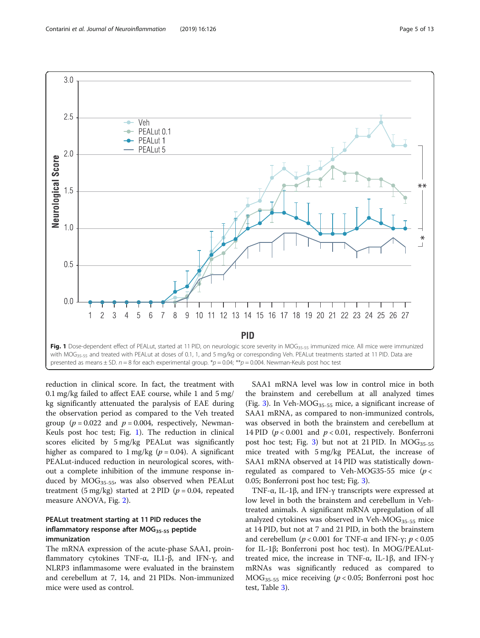<span id="page-4-0"></span>

reduction in clinical score. In fact, the treatment with 0.1 mg/kg failed to affect EAE course, while 1 and 5 mg/ kg significantly attenuated the paralysis of EAE during the observation period as compared to the Veh treated group ( $p = 0.022$  and  $p = 0.004$ , respectively, Newman-Keuls post hoc test; Fig. 1). The reduction in clinical scores elicited by 5 mg/kg PEALut was significantly higher as compared to  $1 \text{ mg/kg}$  ( $p = 0.04$ ). A significant PEALut-induced reduction in neurological scores, without a complete inhibition of the immune response induced by  $MOG_{35-55}$ , was also observed when PEALut treatment (5 mg/kg) started at 2 PID ( $p = 0.04$ , repeated measure ANOVA, Fig. [2\)](#page-5-0).

## PEALut treatment starting at 11 PID reduces the inflammatory response after  $MOG_{35-55}$  peptide immunization

The mRNA expression of the acute-phase SAA1, proinflammatory cytokines TNF-α, IL1-β, and IFN-γ, and NLRP3 inflammasome were evaluated in the brainstem and cerebellum at 7, 14, and 21 PIDs. Non-immunized mice were used as control.

SAA1 mRNA level was low in control mice in both the brainstem and cerebellum at all analyzed times (Fig. [3\)](#page-6-0). In Veh-MOG $_{35-55}$  mice, a significant increase of SAA1 mRNA, as compared to non-immunized controls, was observed in both the brainstem and cerebellum at 14 PID ( $p < 0.001$  and  $p < 0.01$ , respectively. Bonferroni post hoc test; Fig. [3\)](#page-6-0) but not at 21 PID. In  $MOG_{35-55}$ mice treated with 5 mg/kg PEALut, the increase of SAA1 mRNA observed at 14 PID was statistically downregulated as compared to Veh-MOG35-55 mice ( $p <$ 0.05; Bonferroni post hoc test; Fig. [3\)](#page-6-0).

TNF-α, IL-1β, and IFN-γ transcripts were expressed at low level in both the brainstem and cerebellum in Vehtreated animals. A significant mRNA upregulation of all analyzed cytokines was observed in Veh- $MOG_{35-55}$  mice at 14 PID, but not at 7 and 21 PID, in both the brainstem and cerebellum ( $p < 0.001$  for TNF-α and IFN-γ;  $p < 0.05$ for IL-1β; Bonferroni post hoc test). In MOG/PEALuttreated mice, the increase in TNF- $\alpha$ , IL-1β, and IFN- $\gamma$ mRNAs was significantly reduced as compared to  $MOG_{35-55}$  mice receiving ( $p < 0.05$ ; Bonferroni post hoc test, Table [3\)](#page-7-0).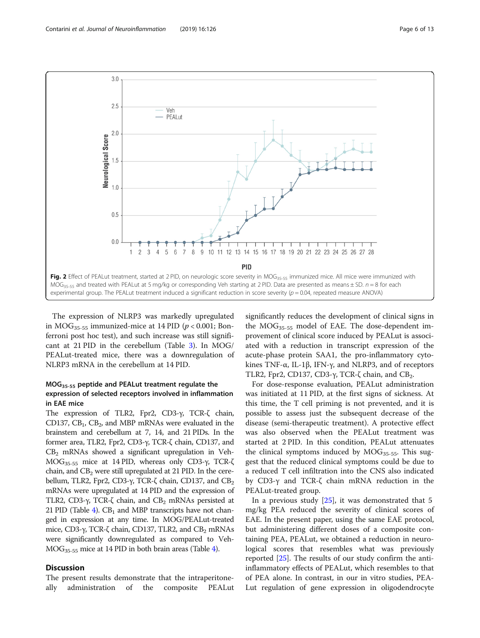<span id="page-5-0"></span>

The expression of NLRP3 was markedly upregulated in  $MOG<sub>35-55</sub>$  immunized-mice at 14 PID ( $p < 0.001$ ; Bonferroni post hoc test), and such increase was still significant at 21 PID in the cerebellum (Table [3](#page-7-0)). In MOG/ PEALut-treated mice, there was a downregulation of NLRP3 mRNA in the cerebellum at 14 PID.

## MOG35-55 peptide and PEALut treatment regulate the expression of selected receptors involved in inflammation in EAE mice

The expression of TLR2, Fpr2, CD3-γ, TCR-ζ chain, CD137,  $CB_1$ ,  $CB_2$ , and MBP mRNAs were evaluated in the brainstem and cerebellum at 7, 14, and 21 PIDs. In the former area, TLR2, Fpr2, CD3-γ, TCR-ζ chain, CD137, and  $CB<sub>2</sub>$  mRNAs showed a significant upregulation in Veh-MOG35-55 mice at 14 PID, whereas only CD3-γ, TCR-ζ chain, and  $CB<sub>2</sub>$  were still upregulated at 21 PID. In the cerebellum, TLR2, Fpr2, CD3-γ, TCR-ζ chain, CD137, and  $CB<sub>2</sub>$ mRNAs were upregulated at 14 PID and the expression of TLR2, CD3-γ, TCR-ζ chain, and CB<sub>2</sub> mRNAs persisted at 21 PID (Table [4\)](#page-8-0).  $CB_1$  and MBP transcripts have not changed in expression at any time. In MOG/PEALut-treated mice, CD3-γ, TCR-ζ chain, CD137, TLR2, and  $CB_2$  mRNAs were significantly downregulated as compared to Veh-MOG35-55 mice at 14 PID in both brain areas (Table [4\)](#page-8-0).

## **Discussion**

The present results demonstrate that the intraperitoneally administration of the composite PEALut significantly reduces the development of clinical signs in the MOG35-55 model of EAE. The dose-dependent improvement of clinical score induced by PEALut is associated with a reduction in transcript expression of the acute-phase protein SAA1, the pro-inflammatory cytokines TNF-α, IL-1β, IFN-γ, and NLRP3, and of receptors TLR2, Fpr2, CD137, CD3-γ, TCR-ζ chain, and CB<sub>2</sub>.

For dose-response evaluation, PEALut administration was initiated at 11 PID, at the first signs of sickness. At this time, the T cell priming is not prevented, and it is possible to assess just the subsequent decrease of the disease (semi-therapeutic treatment). A protective effect was also observed when the PEALut treatment was started at 2 PID. In this condition, PEALut attenuates the clinical symptoms induced by  $MOG_{35-55}$ . This suggest that the reduced clinical symptoms could be due to a reduced T cell infiltration into the CNS also indicated by CD3-γ and TCR-ζ chain mRNA reduction in the PEALut-treated group.

In a previous study [\[25](#page-11-0)], it was demonstrated that 5 mg/kg PEA reduced the severity of clinical scores of EAE. In the present paper, using the same EAE protocol, but administering different doses of a composite containing PEA, PEALut, we obtained a reduction in neurological scores that resembles what was previously reported [\[25\]](#page-11-0). The results of our study confirm the antiinflammatory effects of PEALut, which resembles to that of PEA alone. In contrast, in our in vitro studies, PEA-Lut regulation of gene expression in oligodendrocyte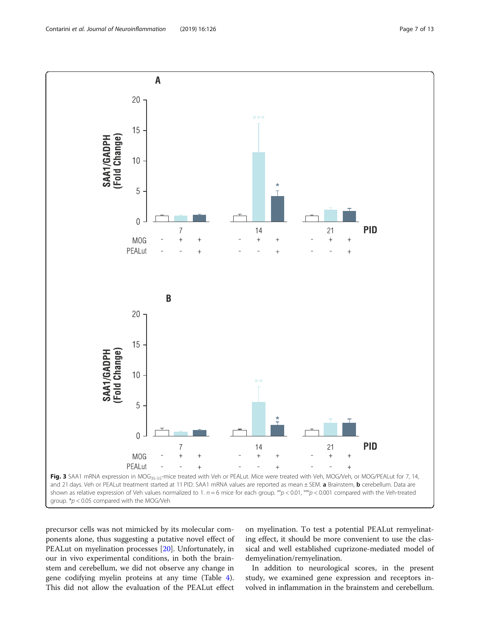<span id="page-6-0"></span>

precursor cells was not mimicked by its molecular components alone, thus suggesting a putative novel effect of PEALut on myelination processes [[20\]](#page-11-0). Unfortunately, in our in vivo experimental conditions, in both the brainstem and cerebellum, we did not observe any change in gene codifying myelin proteins at any time (Table [4](#page-8-0)). This did not allow the evaluation of the PEALut effect

on myelination. To test a potential PEALut remyelinating effect, it should be more convenient to use the classical and well established cuprizone-mediated model of demyelination/remyelination.

In addition to neurological scores, in the present study, we examined gene expression and receptors involved in inflammation in the brainstem and cerebellum.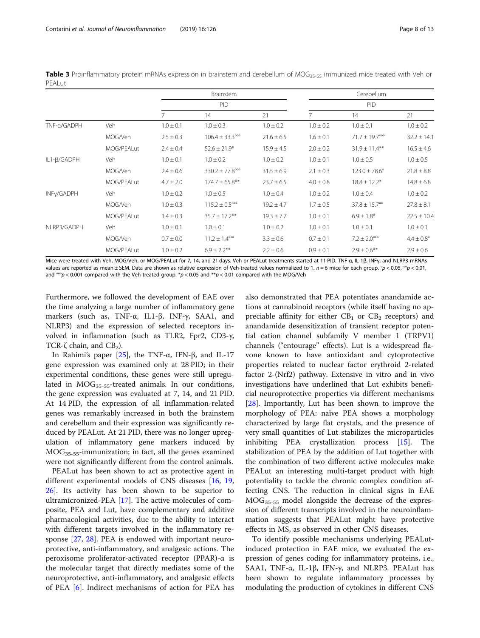<span id="page-7-0"></span>Table 3 Proinflammatory protein mRNAs expression in brainstem and cerebellum of MOG<sub>35-55</sub> immunized mice treated with Veh or PEALut

|             |            |               | <b>Brainstem</b>                   |                | Cerebellum<br>PID |                                 |                       |  |
|-------------|------------|---------------|------------------------------------|----------------|-------------------|---------------------------------|-----------------------|--|
|             |            |               | <b>PID</b>                         |                |                   |                                 |                       |  |
|             |            |               | 14                                 | 21             |                   | 14                              | 21                    |  |
| TNF-a/GADPH | <b>Veh</b> | $1.0 \pm 0.1$ | $1.0 \pm 0.3$                      | $1.0 \pm 0.2$  | $1.0 \pm 0.2$     | $1.0 \pm 0.1$                   | $1.0 \pm 0.2$         |  |
|             | MOG/Veh    | $2.5 \pm 0.3$ | $106.4 \pm 33.3^{\circ\circ\circ}$ | $21.6 \pm 6.5$ | $1.6 \pm 0.1$     | $71.7 \pm 19.7$ <sup>ooo</sup>  | $32.2 \pm 14.1$       |  |
|             | MOG/PEALut | $2.4 \pm 0.4$ | $52.6 \pm 21.9*$                   | $15.9 \pm 4.5$ | $2.0 \pm 0.2$     | $31.9 \pm 11.4***$              | $16.5 \pm 4.6$        |  |
| IL1-β/GADPH | Veh        | $1.0 \pm 0.1$ | $1.0 \pm 0.2$                      | $1.0 \pm 0.2$  | $1.0 \pm 0.1$     | $1.0 \pm 0.5$                   | $1.0 \pm 0.5$         |  |
|             | MOG/Veh    | $2.4 \pm 0.6$ | $330.2 \pm 77.8$ <sup>ooo</sup>    | $31.5 \pm 6.9$ | $2.1 \pm 0.3$     | $123.0 \pm 78.6^{\circ}$        | $21.8 \pm 8.8$        |  |
|             | MOG/PEALut | $4.7 \pm 2.0$ | $174.7 \pm 65.8$ **                | $23.7 \pm 6.5$ | $4.0 \pm 0.8$     | $18.8 \pm 12.2*$                | $14.8 \pm 6.8$        |  |
| INFy/GADPH  | Veh.       | $1.0 \pm 0.2$ | $1.0 \pm 0.5$                      | $1.0 \pm 0.4$  | $1.0 \pm 0.2$     | $1.0 \pm 0.4$                   | $1.0 \pm 0.2$         |  |
|             | MOG/Veh    | $1.0 \pm 0.3$ | $115.2 \pm 0.5^{\circ\circ\circ}$  | $19.2 \pm 4.7$ | $1.7 \pm 0.5$     | $37.8 \pm 15.7$ <sup>oo</sup>   | $27.8 \pm 8.1$        |  |
|             | MOG/PEALut | $1.4 \pm 0.3$ | $35.7 \pm 17.2$ **                 | $19.3 \pm 7.7$ | $1.0 \pm 0.1$     | $6.9 \pm 1.8*$                  | $22.5 \pm 10.4$       |  |
| NLRP3/GADPH | Veh.       | $1.0 \pm 0.1$ | $1.0 \pm 0.1$                      | $1.0 \pm 0.2$  | $1.0 \pm 0.1$     | $1.0 \pm 0.1$                   | $1.0 \pm 0.1$         |  |
|             | MOG/Veh    | $0.7 \pm 0.0$ | $11.2 \pm 1.4^{\circ\circ\circ}$   | $3.3 \pm 0.6$  | $0.7 \pm 0.1$     | $7.2 \pm 2.0^{\circ\circ\circ}$ | $4.4 \pm 0.8^{\circ}$ |  |
|             | MOG/PEALut | $1.0 \pm 0.2$ | $6.9 \pm 2.2$ **                   | $2.2 \pm 0.6$  | $0.9 \pm 0.1$     | $2.9 \pm 0.6$ **                | $2.9 \pm 0.6$         |  |

Mice were treated with Veh, MOG/Veh, or MOG/PEALut for 7, 14, and 21 days. Veh or PEALut treatments started at 11 PID. TNF-α, IL-1β, INFγ, and NLRP3 mRNAs values are reported as mean ± SEM. Data are shown as relative expression of Veh-treated values normalized to 1.  $n = 6$  mice for each group.  $^{\circ}p$  < 0.05,  $^{\circ}p$  < 0.01, and  $\frac{1}{2}$   $\infty$  0.001 compared with the Veh-treated group. \*p < 0.05 and \*\*p < 0.01 compared with the MOG/Veh

Furthermore, we followed the development of EAE over the time analyzing a large number of inflammatory gene markers (such as, TNF-α, IL1-β, INF-γ, SAA1, and NLRP3) and the expression of selected receptors involved in inflammation (such as TLR2, Fpr2, CD3-γ, TCR-ζ chain, and  $CB_2$ ).

In Rahimi's paper  $[25]$  $[25]$ , the TNF-α, IFN-β, and IL-17 gene expression was examined only at 28 PID; in their experimental conditions, these genes were still upregulated in  $MOG_{35-55}$ -treated animals. In our conditions, the gene expression was evaluated at 7, 14, and 21 PID. At 14 PID, the expression of all inflammation-related genes was remarkably increased in both the brainstem and cerebellum and their expression was significantly reduced by PEALut. At 21 PID, there was no longer upregulation of inflammatory gene markers induced by MOG35-55-immunization; in fact, all the genes examined were not significantly different from the control animals.

PEALut has been shown to act as protective agent in different experimental models of CNS diseases [\[16](#page-11-0), [19](#page-11-0), [26\]](#page-11-0). Its activity has been shown to be superior to ultramicronized-PEA [[17\]](#page-11-0). The active molecules of composite, PEA and Lut, have complementary and additive pharmacological activities, due to the ability to interact with different targets involved in the inflammatory response [\[27,](#page-11-0) [28](#page-11-0)]. PEA is endowed with important neuroprotective, anti-inflammatory, and analgesic actions. The peroxisome proliferator-activated receptor (PPAR)-α is the molecular target that directly mediates some of the neuroprotective, anti-inflammatory, and analgesic effects of PEA [[6\]](#page-11-0). Indirect mechanisms of action for PEA has

also demonstrated that PEA potentiates anandamide actions at cannabinoid receptors (while itself having no appreciable affinity for either  $CB_1$  or  $CB_2$  receptors) and anandamide desensitization of transient receptor potential cation channel subfamily V member 1 (TRPV1) channels ("entourage" effects). Lut is a widespread flavone known to have antioxidant and cytoprotective properties related to nuclear factor erythroid 2-related factor 2-(Nrf2) pathway. Extensive in vitro and in vivo investigations have underlined that Lut exhibits beneficial neuroprotective properties via different mechanisms [[28\]](#page-11-0). Importantly, Lut has been shown to improve the morphology of PEA: naïve PEA shows a morphology characterized by large flat crystals, and the presence of very small quantities of Lut stabilizes the microparticles inhibiting PEA crystallization process [\[15](#page-11-0)]. The stabilization of PEA by the addition of Lut together with the combination of two different active molecules make PEALut an interesting multi-target product with high potentiality to tackle the chronic complex condition affecting CNS. The reduction in clinical signs in EAE MOG35-55 model alongside the decrease of the expression of different transcripts involved in the neuroinflammation suggests that PEALut might have protective effects in MS, as observed in other CNS diseases.

To identify possible mechanisms underlying PEALutinduced protection in EAE mice, we evaluated the expression of genes coding for inflammatory proteins, i.e., SAA1, TNF- $\alpha$ , IL-1 $\beta$ , IFN- $\gamma$ , and NLRP3. PEALut has been shown to regulate inflammatory processes by modulating the production of cytokines in different CNS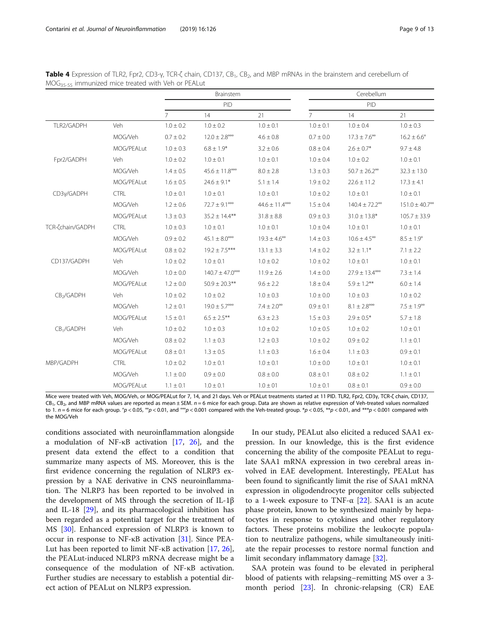<span id="page-8-0"></span>

|  | <b>Table 4</b> Expression of TLR2, Fpr2, CD3-y, TCR-ζ chain, CD137, CB <sub>1</sub> , CB <sub>2</sub> , and MBP mRNAs in the brainstem and cerebellum of |  |  |  |  |  |  |
|--|----------------------------------------------------------------------------------------------------------------------------------------------------------|--|--|--|--|--|--|
|  | MOG <sub>35-55</sub> immunized mice treated with Veh or PEALut                                                                                           |  |  |  |  |  |  |

|                              |             |                | Brainstem                          |                                   | Cerebellum<br>PID |                                   |                                |  |
|------------------------------|-------------|----------------|------------------------------------|-----------------------------------|-------------------|-----------------------------------|--------------------------------|--|
|                              |             |                | PID                                |                                   |                   |                                   |                                |  |
|                              |             | $\overline{7}$ | 14                                 | 21                                | $\overline{7}$    | 14                                | 21                             |  |
| TLR2/GADPH                   | Veh         | $1.0 \pm 0.2$  | $1.0 \pm 0.2$                      | $1.0 \pm 0.1$                     | $1.0 \pm 0.1$     | $1.0 \pm 0.4$                     | $1.0 \pm 0.3$                  |  |
|                              | MOG/Veh     | $0.7 \pm 0.2$  | $12.0 \pm 2.8^{\circ\circ\circ}$   | $4.6 \pm 0.8$                     | $0.7 \pm 0.0$     | $17.3 \pm 7.6^{\circ\circ}$       | $16.2 \pm 6.6^{\circ}$         |  |
|                              | MOG/PEALut  | $1.0 \pm 0.3$  | $6.8 \pm 1.9*$                     | $3.2 \pm 0.6$                     | $0.8 \pm 0.4$     | $2.6 \pm 0.7*$                    | $9.7 \pm 4.8$                  |  |
| Fpr2/GADPH                   | Veh         | $1.0 \pm 0.2$  | $1.0 \pm 0.1$                      | $1.0 \pm 0.1$                     | $1.0 \pm 0.4$     | $1.0 \pm 0.2$                     | $1.0 \pm 0.1$                  |  |
|                              | MOG/Veh     | $1.4 \pm 0.5$  | $45.6 \pm 11.8$ <sup>ooo</sup>     | $8.0 \pm 2.8$                     | $1.3 \pm 0.3$     | $50.7 \pm 26.2^{\circ\circ}$      | $32.3 \pm 13.0$                |  |
|                              | MOG/PEALut  | $1.6 \pm 0.5$  | $24.6 \pm 9.1*$                    | $5.1 \pm 1.4$                     | $1.9 \pm 0.2$     | $22.6 \pm 11.2$                   | $17.3 \pm 4.1$                 |  |
| CD3y/GADPH                   | <b>CTRL</b> | $1.0 \pm 0.1$  | $1.0 \pm 0.1$                      | $1.0 \pm 0.1$                     | $1.0 \pm 0.2$     | $1.0 \pm 0.1$                     | $1.0 \pm 0.1$                  |  |
|                              | MOG/Veh     | $1.2 \pm 0.6$  | $72.7 \pm 9.1^{\circ\circ\circ}$   | $44.6 \pm 11.4^{\circ\circ\circ}$ | $1.5 \pm 0.4$     | $140.4 \pm 72.2$ <sup>oo</sup>    | $151.0 \pm 40.7$ <sup>oo</sup> |  |
|                              | MOG/PEALut  | $1.3 \pm 0.3$  | $35.2 \pm 14.4***$                 | $31.8 \pm 8.8$                    | $0.9 \pm 0.3$     | $31.0 \pm 13.8*$                  | $105.7 \pm 33.9$               |  |
| TCR- <sub>Chain</sub> /GADPH | <b>CTRL</b> | $1.0 \pm 0.3$  | $1.0 \pm 0.1$                      | $1.0 \pm 0.1$                     | $1.0 \pm 0.4$     | $1.0 \pm 0.1$                     | $1.0 \pm 0.1$                  |  |
|                              | MOG/Veh     | $0.9 \pm 0.2$  | $45.1 \pm 8.0^{\circ\circ\circ}$   | $19.3 \pm 4.6^{\circ\circ}$       | $1.4 \pm 0.3$     | $10.6 \pm 4.5^{\circ\circ}$       | $8.5 \pm 1.9^{\circ}$          |  |
|                              | MOG/PEALut  | $0.8 \pm 0.2$  | $19.2 \pm 7.5***$                  | $13.1 \pm 3.3$                    | $1.4 \pm 0.2$     | $3.2 \pm 1.1*$                    | $7.1 \pm 2.2$                  |  |
| CD137/GADPH                  | Veh         | $1.0 \pm 0.2$  | $1.0 \pm 0.1$                      | $1.0 \pm 0.2$                     | $1.0 \pm 0.2$     | $1.0 \pm 0.1$                     | $1.0 \pm 0.1$                  |  |
|                              | MOG/Veh     | $1.0 \pm 0.0$  | $140.7 \pm 47.0^{\circ\circ\circ}$ | $11.9 \pm 2.6$                    | $1.4 \pm 0.0$     | $27.9 \pm 13.4^{\circ\circ\circ}$ | $7.3 \pm 1.4$                  |  |
|                              | MOG/PEALut  | $1.2 \pm 0.0$  | $50.9 \pm 20.3$ **                 | $9.6 \pm 2.2$                     | $1.8 \pm 0.4$     | $5.9 \pm 1.2***$                  | $6.0 \pm 1.4$                  |  |
| CB <sub>2</sub> /GADPH       | Veh         | $1.0 \pm 0.2$  | $1.0\pm0.2$                        | $1.0 \pm 0.3$                     | $1.0 \pm 0.0$     | $1.0 \pm 0.3$                     | $1.0 \pm 0.2$                  |  |
|                              | MOG/Veh     | $1.2 \pm 0.1$  | $19.0 \pm 5.7^{\circ\circ\circ}$   | $7.4 \pm 2.0^{\circ}$             | $0.9 \pm 0.1$     | $8.1 \pm 2.8^{\circ\circ\circ}$   | $7.5 \pm 1.9^{\circ\circ}$     |  |
|                              | MOG/PEALut  | $1.5 \pm 0.1$  | $6.5 \pm 2.5$ **                   | $6.3 \pm 2.3$                     | $1.5 \pm 0.3$     | $2.9 \pm 0.5*$                    | $5.7\pm1.8$                    |  |
| CB <sub>1</sub> /GADPH       | Veh         | $1.0 \pm 0.2$  | $1.0 \pm 0.3$                      | $1.0 \pm 0.2$                     | $1.0 \pm 0.5$     | $1.0 \pm 0.2$                     | $1.0 \pm 0.1$                  |  |
|                              | MOG/Veh     | $0.8 \pm 0.2$  | $1.1 \pm 0.3$                      | $1.2 \pm 0.3$                     | $1.0 \pm 0.2$     | $0.9 \pm 0.2$                     | $1.1 \pm 0.1$                  |  |
|                              | MOG/PEALut  | $0.8 \pm 0.1$  | $1.3 \pm 0.5$                      | $1.1 \pm 0.3$                     | $1.6 \pm 0.4$     | $1.1 \pm 0.3$                     | $0.9 \pm 0.1$                  |  |
| MBP/GADPH                    | <b>CTRL</b> | $1.0 \pm 0.2$  | $1.0 \pm 0.1$                      | $1.0 \pm 0.1$                     | $1.0 \pm 0.0$     | $1.0 \pm 0.1$                     | $1.0 \pm 0.1$                  |  |
|                              | MOG/Veh     | $1.1 \pm 0.0$  | $0.9 \pm 0.0$                      | $0.8 \pm 0.0$                     | $0.8 \pm 0.1$     | $0.8 \pm 0.2$                     | $1.1 \pm 0.1$                  |  |
|                              | MOG/PEALut  | $1.1 \pm 0.1$  | $1.0 \pm 0.1$                      | $1.0 \pm 01$                      | $1.0 \pm 0.1$     | $0.8 \pm 0.1$                     | $0.9 \pm 0.0$                  |  |

Mice were treated with Veh, MOG/Veh, or MOG/PEALut for 7, 14, and 21 days. Veh or PEALut treatments started at 11 PID. TLR2, Fpr2, CD3γ, TCR-ζ chain, CD137,  $CB_1$ ,  $CB_2$ , and MBP mRNA values are reported as mean ± SEM.  $n = 6$  mice for each group. Data are shown as relative expression of Veh-treated values normalized to 1.  $n = 6$  mice for each group. °p < 0.05, °°p < 0.01, and °°p < 0.001 compared with the Veh-treated group. \*p < 0.05, \*\*p < 0.01, and \*\*\*p < 0.001 compared with the MOG/Veh

conditions associated with neuroinflammation alongside a modulation of NF-κB activation [[17,](#page-11-0) [26\]](#page-11-0), and the present data extend the effect to a condition that summarize many aspects of MS. Moreover, this is the first evidence concerning the regulation of NLRP3 expression by a NAE derivative in CNS neuroinflammation. The NLRP3 has been reported to be involved in the development of MS through the secretion of IL-1β and IL-18 [[29](#page-11-0)], and its pharmacological inhibition has been regarded as a potential target for the treatment of MS [[30\]](#page-11-0). Enhanced expression of NLRP3 is known to occur in response to NF-κB activation [\[31](#page-11-0)]. Since PEA-Lut has been reported to limit NF-κB activation [\[17](#page-11-0), [26](#page-11-0)], the PEALut-induced NLRP3 mRNA decrease might be a consequence of the modulation of NF-κB activation. Further studies are necessary to establish a potential direct action of PEALut on NLRP3 expression.

In our study, PEALut also elicited a reduced SAA1 expression. In our knowledge, this is the first evidence concerning the ability of the composite PEALut to regulate SAA1 mRNA expression in two cerebral areas involved in EAE development. Interestingly, PEALut has been found to significantly limit the rise of SAA1 mRNA expression in oligodendrocyte progenitor cells subjected to a 1-week exposure to TNF- $\alpha$  [\[22\]](#page-11-0). SAA1 is an acute phase protein, known to be synthesized mainly by hepatocytes in response to cytokines and other regulatory factors. These proteins mobilize the leukocyte population to neutralize pathogens, while simultaneously initiate the repair processes to restore normal function and limit secondary inflammatory damage [[32\]](#page-11-0).

SAA protein was found to be elevated in peripheral blood of patients with relapsing–remitting MS over a 3 month period [\[23](#page-11-0)]. In chronic-relapsing (CR) EAE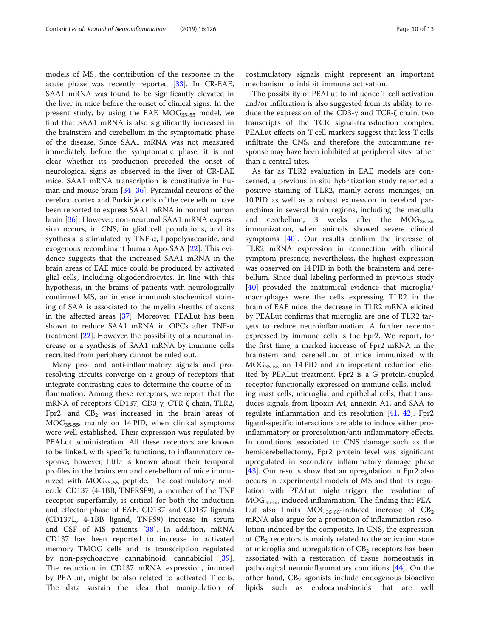models of MS, the contribution of the response in the acute phase was recently reported [[33\]](#page-11-0). In CR-EAE, SAA1 mRNA was found to be significantly elevated in the liver in mice before the onset of clinical signs. In the present study, by using the EAE  $MOG_{35-55}$  model, we find that SAA1 mRNA is also significantly increased in the brainstem and cerebellum in the symptomatic phase of the disease. Since SAA1 mRNA was not measured immediately before the symptomatic phase, it is not clear whether its production preceded the onset of neurological signs as observed in the liver of CR-EAE mice. SAA1 mRNA transcription is constitutive in human and mouse brain [[34](#page-11-0)–[36](#page-11-0)]. Pyramidal neurons of the cerebral cortex and Purkinje cells of the cerebellum have been reported to express SAA1 mRNA in normal human brain [\[36\]](#page-11-0). However, non-neuronal SAA1 mRNA expression occurs, in CNS, in glial cell populations, and its synthesis is stimulated by TNF- $\alpha$ , lipopolysaccaride, and exogenous recombinant human Apo-SAA [[22\]](#page-11-0). This evidence suggests that the increased SAA1 mRNA in the brain areas of EAE mice could be produced by activated glial cells, including oligodendrocytes. In line with this hypothesis, in the brains of patients with neurologically confirmed MS, an intense immunohistochemical staining of SAA is associated to the myelin sheaths of axons in the affected areas [\[37\]](#page-11-0). Moreover, PEALut has been shown to reduce SAA1 mRNA in OPCs after TNF-α treatment [[22\]](#page-11-0). However, the possibility of a neuronal increase or a synthesis of SAA1 mRNA by immune cells recruited from periphery cannot be ruled out.

Many pro- and anti-inflammatory signals and proresolving circuits converge on a group of receptors that integrate contrasting cues to determine the course of inflammation. Among these receptors, we report that the mRNA of receptors CD137, CD3-γ, CTR-ζ chain, TLR2, Fpr2, and  $CB<sub>2</sub>$  was increased in the brain areas of MOG35-55, mainly on 14 PID, when clinical symptoms were well established. Their expression was regulated by PEALut administration. All these receptors are known to be linked, with specific functions, to inflammatory response; however, little is known about their temporal profiles in the brainstem and cerebellum of mice immunized with  $MOG<sub>35-55</sub>$  peptide. The costimulatory molecule CD137 (4-1BB, TNFRSF9), a member of the TNF receptor superfamily, is critical for both the induction and effector phase of EAE. CD137 and CD137 ligands (CD137L, 4-1BB ligand, TNFS9) increase in serum and CSF of MS patients [[38\]](#page-11-0). In addition, mRNA CD137 has been reported to increase in activated memory TMOG cells and its transcription regulated by non-psychoactive cannabinoid, cannabidiol [\[39](#page-11-0)]. The reduction in CD137 mRNA expression, induced by PEALut, might be also related to activated T cells. The data sustain the idea that manipulation of costimulatory signals might represent an important mechanism to inhibit immune activation.

The possibility of PEALut to influence T cell activation and/or infiltration is also suggested from its ability to reduce the expression of the CD3-γ and TCR-ζ chain, two transcripts of the TCR signal-transduction complex. PEALut effects on T cell markers suggest that less T cells infiltrate the CNS, and therefore the autoimmune response may have been inhibited at peripheral sites rather than a central sites.

As far as TLR2 evaluation in EAE models are concerned, a previous in situ hybritization study reported a positive staining of TLR2, mainly across meninges, on 10 PID as well as a robust expression in cerebral parenchima in several brain regions, including the medulla and cerebellum, 3 weeks after the  $MOG_{35-55}$ immunization, when animals showed severe clinical symptoms [\[40\]](#page-11-0). Our results confirm the increase of TLR2 mRNA expression in connection with clinical symptom presence; nevertheless, the highest expression was observed on 14 PID in both the brainstem and cerebellum. Since dual labeling performed in previous study [[40\]](#page-11-0) provided the anatomical evidence that microglia/ macrophages were the cells expressing TLR2 in the brain of EAE mice, the decrease in TLR2 mRNA elicited by PEALut confirms that microglia are one of TLR2 targets to reduce neuroinflammation. A further receptor expressed by immune cells is the Fpr2. We report, for the first time, a marked increase of Fpr2 mRNA in the brainstem and cerebellum of mice immunized with MOG35-55 on 14 PID and an important reduction elicited by PEALut treatment. Fpr2 is a G protein-coupled receptor functionally expressed on immune cells, including mast cells, microglia, and epithelial cells, that transduces signals from lipoxin A4, annexin A1, and SAA to regulate inflammation and its resolution [[41](#page-11-0), [42\]](#page-11-0). Fpr2 ligand-specific interactions are able to induce either proinflammatory or proresolution/anti-inflammatory effects. In conditions associated to CNS damage such as the hemicerebellectomy, Fpr2 protein level was significant upregulated in secondary inflammatory damage phase [[43\]](#page-11-0). Our results show that an upregulation in Fpr2 also occurs in experimental models of MS and that its regulation with PEALut might trigger the resolution of MOG35-55-induced inflammation. The finding that PEA-Lut also limits  $MOG_{35-55}$ -induced increase of  $CB_2$ mRNA also argue for a promotion of inflammation resolution induced by the composite. In CNS, the expression of  $CB<sub>2</sub>$  receptors is mainly related to the activation state of microglia and upregulation of  $CB<sub>2</sub>$  receptors has been associated with a restoration of tissue homeostasis in pathological neuroinflammatory conditions [\[44\]](#page-12-0). On the other hand,  $CB<sub>2</sub>$  agonists include endogenous bioactive lipids such as endocannabinoids that are well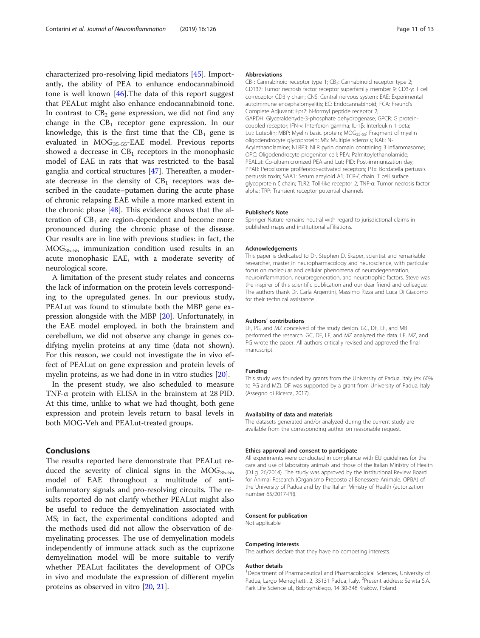characterized pro-resolving lipid mediators [\[45\]](#page-12-0). Importantly, the ability of PEA to enhance endocannabinoid tone is well known  $[46]$  $[46]$ . The data of this report suggest that PEALut might also enhance endocannabinoid tone. In contrast to  $CB_2$  gene expression, we did not find any change in the  $CB_1$  receptor gene expression. In our knowledge, this is the first time that the  $CB_1$  gene is evaluated in MOG<sub>35-55</sub>-EAE model. Previous reports showed a decrease in  $CB_1$  receptors in the monophasic model of EAE in rats that was restricted to the basal ganglia and cortical structures [\[47](#page-12-0)]. Thereafter, a moderate decrease in the density of  $CB_1$  receptors was described in the caudate–putamen during the acute phase of chronic relapsing EAE while a more marked extent in the chronic phase [\[48](#page-12-0)]. This evidence shows that the alteration of  $CB<sub>1</sub>$  are region-dependent and become more pronounced during the chronic phase of the disease. Our results are in line with previous studies: in fact, the MOG35-55 immunization condition used results in an acute monophasic EAE, with a moderate severity of neurological score.

A limitation of the present study relates and concerns the lack of information on the protein levels corresponding to the upregulated genes. In our previous study, PEALut was found to stimulate both the MBP gene expression alongside with the MBP [\[20\]](#page-11-0). Unfortunately, in the EAE model employed, in both the brainstem and cerebellum, we did not observe any change in genes codifying myelin proteins at any time (data not shown). For this reason, we could not investigate the in vivo effect of PEALut on gene expression and protein levels of myelin proteins, as we had done in in vitro studies [\[20](#page-11-0)].

In the present study, we also scheduled to measure TNF-α protein with ELISA in the brainstem at 28 PID. At this time, unlike to what we had thought, both gene expression and protein levels return to basal levels in both MOG-Veh and PEALut-treated groups.

## Conclusions

The results reported here demonstrate that PEALut reduced the severity of clinical signs in the  $MOG_{35-55}$ model of EAE throughout a multitude of antiinflammatory signals and pro-resolving circuits. The results reported do not clarify whether PEALut might also be useful to reduce the demyelination associated with MS; in fact, the experimental conditions adopted and the methods used did not allow the observation of demyelinating processes. The use of demyelination models independently of immune attack such as the cuprizone demyelination model will be more suitable to verify whether PEALut facilitates the development of OPCs in vivo and modulate the expression of different myelin proteins as observed in vitro [[20,](#page-11-0) [21](#page-11-0)].

#### Abbreviations

CB<sub>1</sub>: Cannabinoid receptor type 1; CB<sub>2</sub>: Cannabinoid receptor type 2; CD137: Tumor necrosis factor receptor superfamily member 9; CD3-γ: T cell co-receptor CD3 γ chain; CNS: Central nervous system; EAE: Experimental autoimmune encephalomyelitis; EC: Endocannabinoid; FCA: Freund's Complete Adjuvant; Fpr2: N-formyl peptide receptor 2; GAPDH: Glyceraldehyde-3-phosphate dehydrogenase; GPCR: G proteincoupled receptor; IFN-γ: Interferon gamma; IL-1β: Interleukin 1 beta; Lut: Luteolin; MBP: Myelin basic protein; MOG<sub>35-55</sub>: Fragment of myelin oligodendrocyte glycoprotein; MS: Multiple sclerosis; NAE: N-Acylethanolamine; NLRP3: NLR pyrin domain containing 3 inflammasome; OPC: Oligodendrocyte progenitor cell; PEA: Palmitoylethanolamide; PEALut: Co-ultramicronized PEA and Lut; PID: Post-immunization day; PPAR: Peroxisome proliferator-activated receptors; PTx: Bordatella pertussis pertussis toxin; SAA1: Serum amyloid A1; TCR-ζ chain: T cell surface glycoprotein ζ chain; TLR2: Toll-like receptor 2; TNF-α: Tumor necrosis factor alpha; TRP: Transient receptor potential channels

#### Publisher's Note

Springer Nature remains neutral with regard to jurisdictional claims in published maps and institutional affiliations.

#### Acknowledgements

This paper is dedicated to Dr. Stephen D. Skaper, scientist and remarkable researcher, master in neuropharmacology and neuroscience, with particular focus on molecular and cellular phenomena of neurodegeneration, neuroinflammation, neuroregeneration, and neurotrophic factors. Steve was the inspirer of this scientific publication and our dear friend and colleague. The authors thank Dr. Carla Argentini, Massimo Rizza and Luca Di Giacomo for their technical assistance.

#### Authors' contributions

LF, PG, and MZ conceived of the study design. GC, DF, LF, and MB performed the research. GC, DF, LF, and MZ analyzed the data. LF, MZ, and PG wrote the paper. All authors critically revised and approved the final manuscript.

#### Funding

This study was founded by grants from the University of Padua, Italy (ex 60% to PG and MZ). DF was supported by a grant from University of Padua, Italy (Assegno di Ricerca, 2017).

#### Availability of data and materials

The datasets generated and/or analyzed during the current study are available from the corresponding author on reasonable request.

## Ethics approval and consent to participate

All experiments were conducted in compliance with EU guidelines for the care and use of laboratory animals and those of the Italian Ministry of Health (D.Lg. 26/2014). The study was approved by the Institutional Review Board for Animal Research (Organismo Preposto al Benessere Animale, OPBA) of the University of Padua and by the Italian Ministry of Health (autorization number 65/2017-PR).

#### Consent for publication

Not applicable

#### Competing interests

The authors declare that they have no competing interests.

#### Author details

<sup>1</sup>Department of Pharmaceutical and Pharmacological Sciences, University of Padua, Largo Meneghetti, 2, 35131 Padua, Italy. <sup>2</sup> Present address: Selvita S.A Park Life Science ul., Bobrzyńskiego, 14 30-348 Kraków, Poland.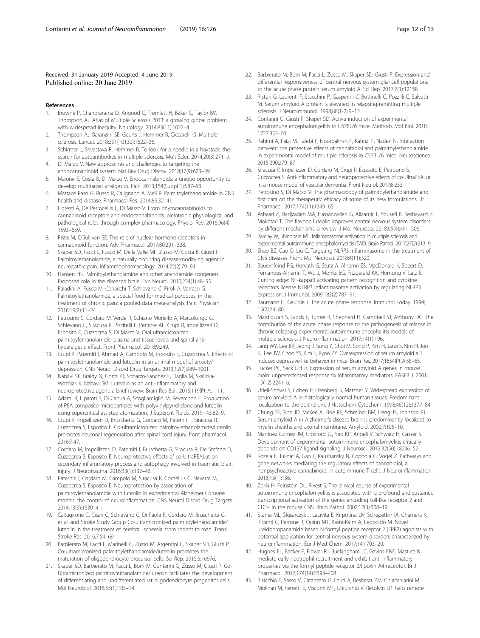## <span id="page-11-0"></span>Received: 31 January 2019 Accepted: 4 June 2019 Published online: 20 June 2019

#### References

- 1. Browne P, Chandraratna D, Angood C, Tremlett H, Baker C, Taylor BV, Thompson AJ. Atlas of Multiple Sclerosis 2013: a growing global problem with widespread inequity. Neurology. 2014;83(11):1022–4.
- 2. Thompson AJ, Baranzini SE, Geurts J, Hemmer B, Ciccarelli O. Multiple sclerosis. Lancet. 2018;391(10130):1622–36.
- 3. Schirmer L, Srivastava R, Hemmer B. To look for a needle in a haystack: the search for autoantibodies in multiple sclerosis. Mult Scler. 2014;20(3):271–9.
- 4. Di Marzo V. New approaches and challenges to targeting the endocannabinoid system. Nat Rev Drug Discov. 2018;17(9):623–39.
- 5. Maione S, Costa B, Di Marzo V. Endocannabinoids: a unique opportunity to develop multitarget analgesics. Pain. 2013;154(Suppl 1):S87–93.
- 6. Mattace Raso G, Russo R, Calignano A, Meli R. Palmitoylethanolamide in CNS health and disease. Pharmacol Res. 2014;86:32–41.
- 7. Ligresti A, De Petrocellis L, Di Marzo V. From phytocannabinoids to cannabinoid receptors and endocannabinoids: pleiotropic physiological and pathological roles through complex pharmacology. Physiol Rev. 2016;96(4): 1593–659.
- 8. Pistis M, O'Sullivan SE. The role of nuclear hormone receptors in cannabinoid function. Adv Pharmacol. 2017;80:291–328.
- 9. Skaper SD, Facci L, Fusco M, Della Valle MF, Zusso M, Costa B, Giusti P. Palmitoylethanolamide, a naturally occurring disease-modifying agent in neuropathic pain. Inflammopharmacology. 2014;22(2):79–94.
- 10. Hansen HS. Palmitoylethanolamide and other anandamide congeners. Proposed role in the diseased brain. Exp Neurol. 2010;224(1):48–55.
- 11. Paladini A, Fusco M, Cenacchi T, Schievano C, Piroli A, Varrassi G. Palmitoylethanolamide, a special food for medical purposes, in the treatment of chronic pain: a pooled data meta-analysis. Pain Physician. 2016;19(2):11–24.
- 12. Petrosino S, Cordaro M, Verde R, Schiano Moriello A, Marcolongo G, Schievano C, Siracusa R, Piscitelli F, Peritore AF, Crupi R, Impellizzeri D, Esposito E, Cuzzocrea S, Di Marzo V. Oral ultramicronized palmitoylethanolamide: plasma and tissue levels and spinal antihyperalgesic effect. Front Pharmacol. 2018;9:249.
- 13. Crupi R, Paterniti I, Ahmad A, Campolo M, Esposito E, Cuzzocrea S. Effects of palmitoylethanolamide and luteolin in an animal model of anxiety/ depression. CNS Neurol Disord Drug Targets. 2013;12(7):989–1001.
- 14. Nabavi SF, Braidy N, Gortzi O, Sobarzo-Sanchez E, Daglia M, Skalicka-Woźniak K, Nabavi SM. Luteolin as an anti-inflammatory and neuroprotective agent: a brief review. Brain Res Bull. 2015;119(Pt A:1–11.
- 15. Adami R, Liparoti S, Di Capua A, Scogliamiglio M, Reverchon E. Production of PEA composite microparticles with polyvinylpyrrolidone and luteolin using supercritical assisted atomization. J Supercrit Fluids. 2019;143:82–9.
- 16. Crupi R, Impellizzeri D, Bruschetta G, Cordaro M, Paterniti I, Siracusa R, Cuzzocrea S, Esposito E. Co-ultramicronized palmitoylethanolamide/luteolin promotes neuronal regeneration after spinal cord injury. front pharmacol. 2016;7:47.
- 17. Cordaro M, Impellizzeri D, Paterniti I, Bruschetta G, Siracusa R, De Stefano D, Cuzzocrea S, Esposito E. Neuroprotective effects of co-UltraPEALut on secondary inflammatory process and autophagy involved in traumatic brain injury. J Neurotrauma. 2016;33(1):132–46.
- 18. Paterniti I, Cordaro M, Campolo M, Siracusa R, Cornelius C, Navarra M, Cuzzocrea S, Esposito E. Neuroprotection by association of palmitoylethanolamide with luteolin in experimental Alzheimer's disease models: the control of neuroinflammation. CNS Neurol Disord Drug Targets. 2014;13(9):1530–41.
- 19. Caltagirone C, Cisari C, Schievano C, Di Paola R, Cordaro M, Bruschetta G, et al. and Stroke Study Group Co-ultramicronized palmitoylethanolamide/ luteolin in the treatment of cerebral ischemia: from rodent to man. Transl Stroke Res. 2016;7:54–69.
- 20. Barbierato M, Facci L, Marinelli C, Zusso M, Argentini C, Skaper SD, Giusti P. Co-ultramicronized palmitoylethanolamide/luteolin promotes the maturation of oligodendrocyte precursor cells. Sci Rep. 2015;5:16676.
- 21. Skaper SD, Barbierato M, Facci L, Borri M, Contarini G, Zusso M, Giusti P. Co-Ultramicronized palmitoylethanolamide/luteolin facilitates the development of differentiating and undifferentiated rat oligodendrocyte progenitor cells. Mol Neurobiol. 2018;55(1):103–14.
- 22. Barbierato M, Borri M, Facci L, Zusso M, Skaper SD, Giusti P. Expression and differential responsiveness of central nervous system glial cell populations to the acute phase protein serum amyloid A. Sci Rep. 2017;7(1):12158.
- 23. Ristori G, Laurenti F, Stacchini P, Gasperini C, Buttinelli C, Pozzilli C, Salvetti M. Serum amyloid A protein is elevated in relapsing-remitting multiple sclerosis. J Neuroimmunol. 1998;88(1-2):9–12.
- 24. Contarini G, Giusti P, Skaper SD. Active induction of experimental autoimmune encephalomyelitis in C57BL/6 mice. Methods Mol Biol. 2018; 1727:353–60.
- 25. Rahimi A, Faizi M, Talebi F, Noorbakhsh F, Kahrizi F, Naderi N. Interaction between the protective effects of cannabidiol and palmitoylethanolamide in experimental model of multiple sclerosis in C57BL/6 mice. Neuroscience. 2015;290:279–87.
- 26. Siracusa R, Impellizzeri D, Cordaro M, Crupi R, Esposito E, Petrosino S, Cuzzocrea S. Anti-inflammatory and neuroprotective effects of co-UltraPEALut in a mouse model of vascular dementia. Front Neurol. 2017;8:233.
- 27. Petrosino S, Di Marzo V. The pharmacology of palmitoylethanolamide and first data on the therapeutic efficacy of some of its new formulations. Br J Pharmacol. 2017;174(11):1349–65.
- 28. Ashaari Z, Hadjzadeh MA, Hassanzadeh G, Alizamir T, Yousefi B, Keshavarzi Z, Mokhtari T. The flavone luteolin improves central nervous system disorders by different mechanisms: a review. J Mol Neurosci. 2018;65(4):491–506.
- 29. Barclay W, Shinohara ML. Inflammasome activation in multiple sclerosis and experimental autoimmune encephalomyelitis (EAE). Brain Pathol. 2017;27(2):213–9.
- Shao BZ, Cao Q, Liu C. Targeting NLRP3 inflammasome in the treatment of CNS diseases. Front Mol Neurosci. 2018;4(11):320.
- 31. Bauernfeind FG, Horvath G, Stutz A, Alnemri ES, MacDonald K, Speert D, Fernandes-Alnemri T, Wu J, Monks BG, Fitzgerald KA, Hornung V, Latz E. Cutting edge: NF-kappaB activating pattern recognition and cytokine receptors license NLRP3 inflammasome activation by regulating NLRP3 expression. J Immunol. 2009;183(2):787–91.
- 32. Baumann H, Gauldie J. The acute phase response. Immunol Today. 1994; 15(2):74–80.
- 33. Mardiguian S, Ladds E, Turner R, Shepherd H, Campbell SJ, Anthony DC. The contribution of the acute phase response to the pathogenesis of relapse in chronic-relapsing experimental autoimmune encephalitis models of multiple sclerosis. J Neuroinflammation. 2017;14(1):196.
- 34. Jang WY, Lee BR, Jeong J, Sung Y, Choi M, Song P, Kim H, Jang S, Kim H, Joo KI, Lee JW, Choo YS, Kim E, Ryoo ZY. Overexpression of serum amyloid a 1 induces depressive-like behavior in mice. Brain Res. 2017;1654(Pt A:55–65.
- 35. Tucker PC, Sack GH Jr. Expression of serum amyloid A genes in mouse brain: unprecedented response to inflammatory mediators. FASEB J. 2001; 15(12):2241–6.
- 36. Urieli-Shoval S, Cohen P, Eisenberg S, Matzner Y. Widespread expression of serum amyloid A in histologically normal human tissues. Predominant localization to the epithelium. J Histochem Cytochem. 1998;46(12):1377–84.
- 37. Chung TF, Sipe JD, McKee A, Fine RE, Schreiber BM, Liang JS, Johnson RJ. Serum amyloid A in Alzheimer's disease brain is predominantly localized to myelin sheaths and axonal membrane. Amyloid. 2000;7:105–10.
- 38. Martínez Gómez JM, Croxford JL, Yeo KP, Angeli V, Schwarz H, Gasser S. Development of experimental autoimmune encephalomyelitis critically depends on CD137 ligand signaling. J Neurosci. 2012;32(50):18246–52.
- 39. Kozela E, Juknat A, Gao F, Kaushansky N, Coppola G, Vogel Z. Pathways and gene networks mediating the regulatory effects of cannabidiol, a nonpsychoactive cannabinoid, in autoimmune T cells. J Neuroinflammation. 2016;13(1):136.
- 40. Zekki H, Feinstein DL, Rivest S. The clinical course of experimental autoimmune encephalomyelitis is associated with a profound and sustained transcriptional activation of the genes encoding toll-like receptor 2 and CD14 in the mouse CNS. Brain Pathol. 2002;12(3):308–19.
- 41. Stama ML, Ślusarczyk J, Lacivita E, Kirpotina LN, Schepetkin IA, Chamera K, Riganti C, Perrone R, Quinn MT, Basta-Kaim A, Leopoldo M. Novel ureidopropanamide based N-formyl peptide receptor 2 (FPR2) agonists with potential application for central nervous system disorders characterized by neuroinflammation. Eur J Med Chem. 2017;141:703–20.
- 42. Hughes EL, Becker F, Flower RJ, Buckingham JC, Gavins FNE. Mast cells mediate early neutrophil recruitment and exhibit anti-inflammatory properties via the formyl peptide receptor 2/lipoxin A4 receptor. Br J Pharmacol. 2017;174(14):2393–408.
- 43. Bisicchia E, Sasso V, Catanzaro G, Leuti A, Besharat ZM, Chiacchiarini M, Molinari M, Ferretti E, Viscomi MT, Chiurchiù V. Resolvin D1 halts remote